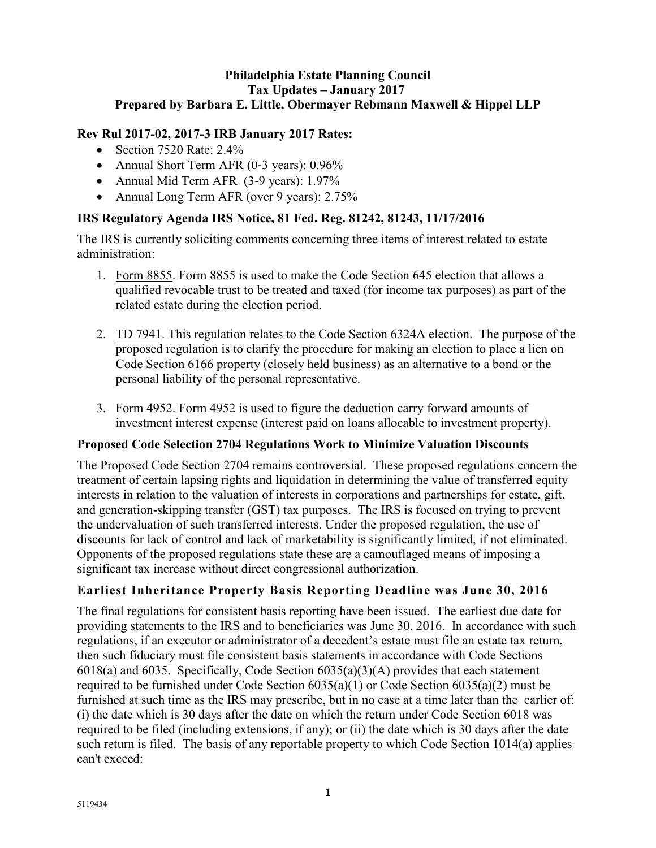#### **Philadelphia Estate Planning Council Tax Updates – January 2017 Prepared by Barbara E. Little, Obermayer Rebmann Maxwell & Hippel LLP**

### **Rev Rul 2017-02, 2017-3 IRB January 2017 Rates:**

- Section 7520 Rate:  $2.4\%$
- Annual Short Term AFR (0-3 years): 0.96%
- Annual Mid Term AFR (3-9 years): 1.97%
- Annual Long Term AFR (over 9 years): 2.75%

### **IRS Regulatory Agenda IRS Notice, 81 Fed. Reg. 81242, 81243, 11/17/2016**

The IRS is currently soliciting comments concerning three items of interest related to estate administration:

- 1. Form 8855. Form 8855 is used to make the Code Section 645 election that allows a qualified revocable trust to be treated and taxed (for income tax purposes) as part of the related estate during the election period.
- 2. TD 7941. This regulation relates to the Code Section 6324A election. The purpose of the proposed regulation is to clarify the procedure for making an election to place a lien on Code Section 6166 property (closely held business) as an alternative to a bond or the personal liability of the personal representative.
- 3. Form 4952. Form 4952 is used to figure the deduction carry forward amounts of investment interest expense (interest paid on loans allocable to investment property).

### **Proposed Code Selection 2704 Regulations Work to Minimize Valuation Discounts**

The Proposed Code Section 2704 remains controversial. These proposed regulations concern the treatment of certain lapsing rights and liquidation in determining the value of transferred equity interests in relation to the valuation of interests in corporations and partnerships for estate, gift, and generation-skipping transfer (GST) tax purposes. The IRS is focused on trying to prevent the undervaluation of such transferred interests. Under the proposed regulation, the use of discounts for lack of control and lack of marketability is significantly limited, if not eliminated. Opponents of the proposed regulations state these are a camouflaged means of imposing a significant tax increase without direct congressional authorization.

# **Earliest Inheritance Property Basis Reporting Deadline was June 30, 2016**

The final regulations for consistent basis reporting have been issued. The earliest due date for providing statements to the IRS and to beneficiaries was June 30, 2016. In accordance with such regulations, if an executor or administrator of a decedent's estate must file an estate tax return, then such fiduciary must file consistent basis statements in accordance with Code Sections 6018(a) and 6035. Specifically, Code Section 6035(a)(3)(A) provides that each statement required to be furnished under Code Section 6035(a)(1) or Code Section 6035(a)(2) must be furnished at such time as the IRS may prescribe, but in no case at a time later than the earlier of: (i) the date which is 30 days after the date on which the return under Code Section 6018 was required to be filed (including extensions, if any); or (ii) the date which is 30 days after the date such return is filed. The basis of any reportable property to which Code Section 1014(a) applies can't exceed: